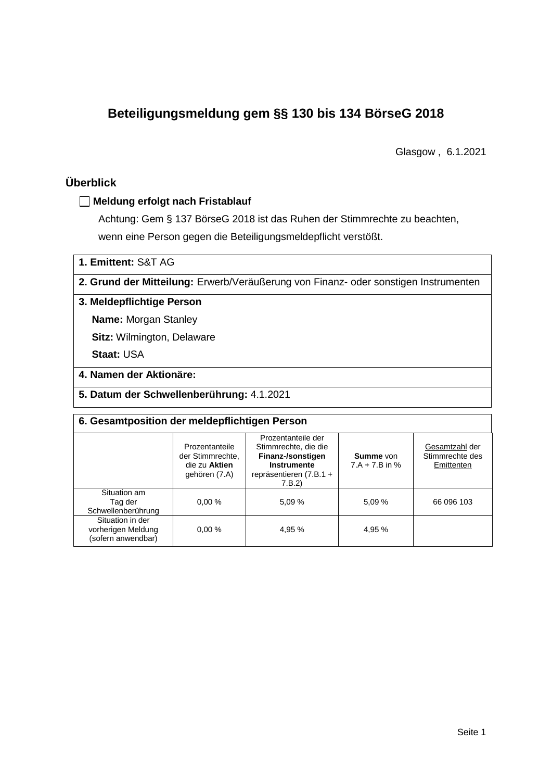# **Beteiligungsmeldung gem §§ 130 bis 134 BörseG 2018**

Glasgow , 6.1.2021

# **Überblick**

## **Meldung erfolgt nach Fristablauf**

Achtung: Gem § 137 BörseG 2018 ist das Ruhen der Stimmrechte zu beachten, wenn eine Person gegen die Beteiligungsmeldepflicht verstößt.

**1. Emittent:** S&T AG

**2. Grund der Mitteilung:** Erwerb/Veräußerung von Finanz- oder sonstigen Instrumenten

## **3. Meldepflichtige Person**

**Name:** Morgan Stanley

**Sitz:** Wilmington, Delaware

**Staat:** USA

## **4. Namen der Aktionäre:**

**5. Datum der Schwellenberührung:** 4.1.2021

| 6. Gesamtposition der meldepflichtigen Person                |                                                                      |                                                                                                                    |                                      |                                                 |  |  |  |
|--------------------------------------------------------------|----------------------------------------------------------------------|--------------------------------------------------------------------------------------------------------------------|--------------------------------------|-------------------------------------------------|--|--|--|
|                                                              | Prozentanteile<br>der Stimmrechte.<br>die zu Aktien<br>gehören (7.A) | Prozentanteile der<br>Stimmrechte, die die<br>Finanz-/sonstigen<br>Instrumente<br>repräsentieren (7.B.1 +<br>7.B.2 | <b>Summe</b> von<br>$7.A + 7.B$ in % | Gesamtzahl der<br>Stimmrechte des<br>Emittenten |  |  |  |
| Situation am<br>Tag der<br>Schwellenberührung                | 0.00%                                                                | 5,09 %                                                                                                             | 5.09%                                | 66 096 103                                      |  |  |  |
| Situation in der<br>vorherigen Meldung<br>(sofern anwendbar) | 0.00%                                                                | 4,95 %                                                                                                             | 4,95 %                               |                                                 |  |  |  |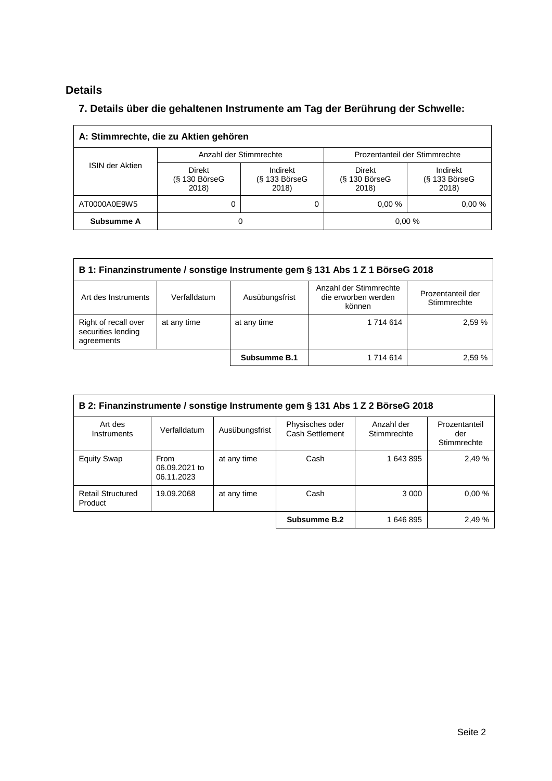# **Details**

 $\overline{\Gamma}$ 

# **7. Details über die gehaltenen Instrumente am Tag der Berührung der Schwelle:**

| A: Stimmrechte, die zu Aktien gehören |                                           |                                      |                                       |                                      |  |  |
|---------------------------------------|-------------------------------------------|--------------------------------------|---------------------------------------|--------------------------------------|--|--|
| <b>ISIN der Aktien</b>                | Anzahl der Stimmrechte                    |                                      | Prozentanteil der Stimmrechte         |                                      |  |  |
|                                       | <b>Direkt</b><br>$(S$ 130 BörseG<br>2018) | Indirekt<br>$(S$ 133 BörseG<br>2018) | Direkt<br>$(S$ 130 Börse $G$<br>2018) | Indirekt<br>$(S$ 133 BörseG<br>2018) |  |  |
| AT0000A0E9W5                          | 0                                         |                                      | 0.00%                                 | 0.00%                                |  |  |
| Subsumme A                            | O                                         |                                      |                                       | 0,00%                                |  |  |

| B 1: Finanzinstrumente / sonstige Instrumente gem § 131 Abs 1 Z 1 BörseG 2018                                 |              |                |                                                         |                                  |  |
|---------------------------------------------------------------------------------------------------------------|--------------|----------------|---------------------------------------------------------|----------------------------------|--|
| Art des Instruments                                                                                           | Verfalldatum | Ausübungsfrist | Anzahl der Stimmrechte<br>die erworben werden<br>können | Prozentanteil der<br>Stimmrechte |  |
| Right of recall over<br>1 714 614<br>2,59 %<br>at any time<br>at any time<br>securities lending<br>agreements |              |                |                                                         |                                  |  |
|                                                                                                               |              | Subsumme B.1   | 1 714 614                                               | 2.59%                            |  |

| B 2: Finanzinstrumente / sonstige Instrumente gem § 131 Abs 1 Z 2 BörseG 2018 |                                     |                |                                    |                           |                                     |
|-------------------------------------------------------------------------------|-------------------------------------|----------------|------------------------------------|---------------------------|-------------------------------------|
| Art des<br>Instruments                                                        | Verfalldatum                        | Ausübungsfrist | Physisches oder<br>Cash Settlement | Anzahl der<br>Stimmrechte | Prozentanteil<br>der<br>Stimmrechte |
| <b>Equity Swap</b>                                                            | From<br>06.09.2021 to<br>06.11.2023 | at any time    | Cash                               | 1 643 895                 | 2,49 %                              |
| <b>Retail Structured</b><br>Product                                           | 19.09.2068                          | at any time    | Cash                               | 3 0 0 0                   | 0.00%                               |
|                                                                               |                                     |                | Subsumme B.2                       | 1646895                   | 2,49 %                              |

 $\overline{\phantom{0}}$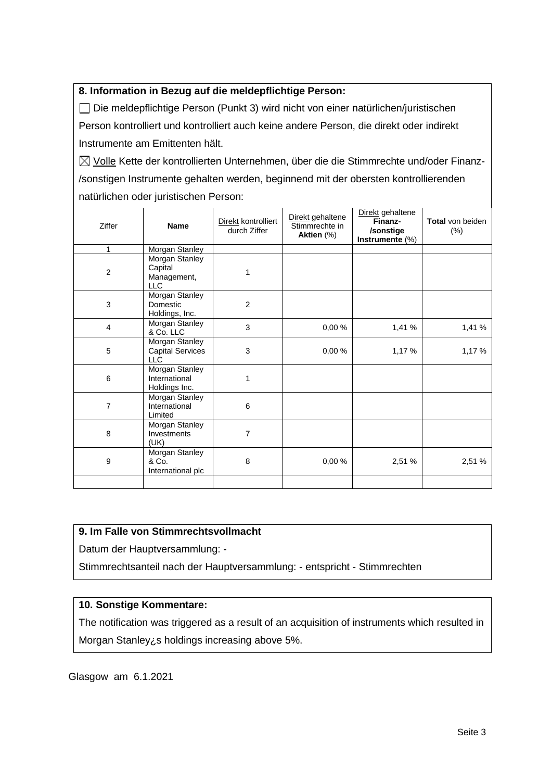## **8. Information in Bezug auf die meldepflichtige Person:**

Die meldepflichtige Person (Punkt 3) wird nicht von einer natürlichen/juristischen Person kontrolliert und kontrolliert auch keine andere Person, die direkt oder indirekt Instrumente am Emittenten hält.

 $\boxtimes$  Volle Kette der kontrollierten Unternehmen, über die die Stimmrechte und/oder Finanz-/sonstigen Instrumente gehalten werden, beginnend mit der obersten kontrollierenden natürlichen oder juristischen Person:

| Ziffer           | <b>Name</b>                                             | Direkt kontrolliert<br>durch Ziffer | Direkt gehaltene<br>Stimmrechte in<br>Aktien (%) | Direkt gehaltene<br>Finanz-<br>/sonstige<br>Instrumente $(\%)$ | <b>Total von beiden</b><br>$(\%)$ |
|------------------|---------------------------------------------------------|-------------------------------------|--------------------------------------------------|----------------------------------------------------------------|-----------------------------------|
| 1                | <b>Morgan Stanley</b>                                   |                                     |                                                  |                                                                |                                   |
| $\overline{c}$   | Morgan Stanley<br>Capital<br>Management,<br><b>LLC</b>  | 1                                   |                                                  |                                                                |                                   |
| 3                | Morgan Stanley<br>Domestic<br>Holdings, Inc.            | $\overline{2}$                      |                                                  |                                                                |                                   |
| $\overline{4}$   | Morgan Stanley<br>& Co. LLC                             | 3                                   | 0,00%                                            | 1,41 %                                                         | 1,41 %                            |
| 5                | Morgan Stanley<br><b>Capital Services</b><br><b>LLC</b> | 3                                   | 0,00%                                            | 1,17%                                                          | 1,17%                             |
| 6                | Morgan Stanley<br>International<br>Holdings Inc.        | 1                                   |                                                  |                                                                |                                   |
| 7                | Morgan Stanley<br>International<br>Limited              | 6                                   |                                                  |                                                                |                                   |
| 8                | Morgan Stanley<br>Investments<br>(UK)                   | $\overline{7}$                      |                                                  |                                                                |                                   |
| $\boldsymbol{9}$ | Morgan Stanley<br>& Co.<br>International plc            | 8                                   | 0,00%                                            | 2,51 %                                                         | 2,51 %                            |
|                  |                                                         |                                     |                                                  |                                                                |                                   |

#### **9. Im Falle von Stimmrechtsvollmacht**

Datum der Hauptversammlung: -

Stimmrechtsanteil nach der Hauptversammlung: - entspricht - Stimmrechten

#### **10. Sonstige Kommentare:**

The notification was triggered as a result of an acquisition of instruments which resulted in Morgan Stanley¿s holdings increasing above 5%.

Glasgow am 6.1.2021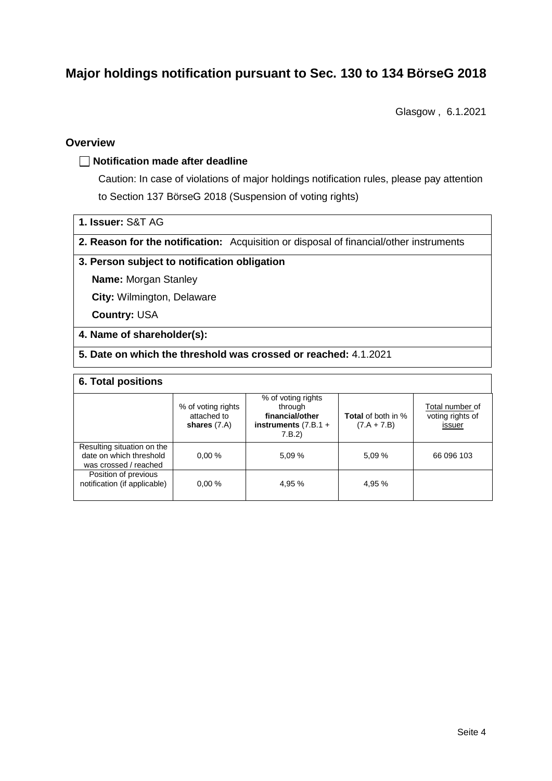# **Major holdings notification pursuant to Sec. 130 to 134 BörseG 2018**

Glasgow , 6.1.2021

## **Overview**

#### **Notification made after deadline**

Caution: In case of violations of major holdings notification rules, please pay attention to Section 137 BörseG 2018 (Suspension of voting rights)

|  | 1. Issuer: S&T AG |
|--|-------------------|
|--|-------------------|

**2. Reason for the notification:** Acquisition or disposal of financial/other instruments

#### **3. Person subject to notification obligation**

**Name:** Morgan Stanley

**City:** Wilmington, Delaware

**Country:** USA

#### **4. Name of shareholder(s):**

**5. Date on which the threshold was crossed or reached:** 4.1.2021

#### **6. Total positions**

|                                                                                | % of voting rights<br>attached to<br>shares $(7.A)$ | % of voting rights<br>through<br>financial/other<br>instruments $(7.B.1 +$<br>7.B.2 | <b>Total</b> of both in %<br>$(7.A + 7.B)$ | Total number of<br>voting rights of<br>issuer |
|--------------------------------------------------------------------------------|-----------------------------------------------------|-------------------------------------------------------------------------------------|--------------------------------------------|-----------------------------------------------|
| Resulting situation on the<br>date on which threshold<br>was crossed / reached | 0.00%                                               | 5.09%                                                                               | 5,09 %                                     | 66 096 103                                    |
| Position of previous<br>notification (if applicable)                           | 0.00%                                               | 4.95 %                                                                              | 4.95 %                                     |                                               |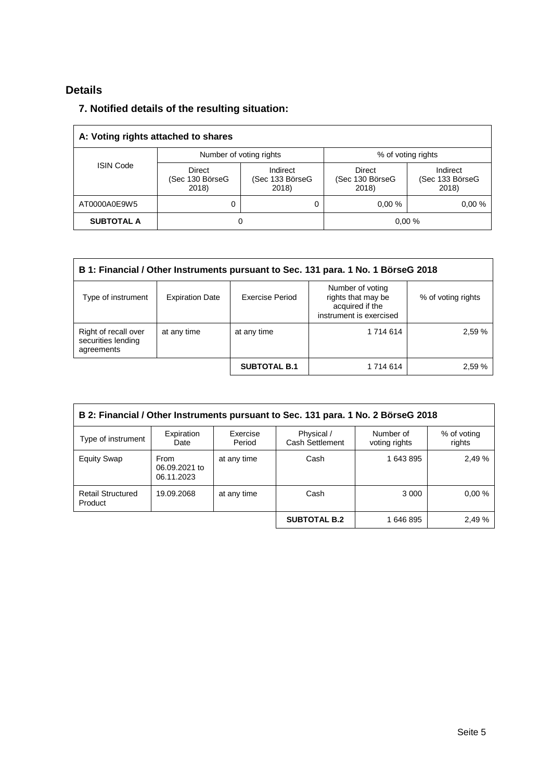# **Details**

# **7. Notified details of the resulting situation:**

| A: Voting rights attached to shares |                                    |                                      |                                    |                                      |  |
|-------------------------------------|------------------------------------|--------------------------------------|------------------------------------|--------------------------------------|--|
|                                     | Number of voting rights            |                                      | % of voting rights                 |                                      |  |
| <b>ISIN Code</b>                    | Direct<br>(Sec 130 BörseG<br>2018) | Indirect<br>(Sec 133 BörseG<br>2018) | Direct<br>(Sec 130 BörseG<br>2018) | Indirect<br>(Sec 133 BörseG<br>2018) |  |
| AT0000A0E9W5                        | 0                                  | 0                                    | 0.00%                              | 0.00%                                |  |
| <b>SUBTOTAL A</b>                   | 0                                  |                                      |                                    | 0,00%                                |  |

| B 1: Financial / Other Instruments pursuant to Sec. 131 para. 1 No. 1 BörseG 2018 |                                                                                                                                                         |                     |           |        |  |  |
|-----------------------------------------------------------------------------------|---------------------------------------------------------------------------------------------------------------------------------------------------------|---------------------|-----------|--------|--|--|
| Type of instrument                                                                | Number of voting<br>Exercise Period<br>rights that may be<br><b>Expiration Date</b><br>% of voting rights<br>acquired if the<br>instrument is exercised |                     |           |        |  |  |
| Right of recall over<br>securities lending<br>agreements                          | at any time                                                                                                                                             | at any time         | 1 714 614 | 2,59 % |  |  |
|                                                                                   |                                                                                                                                                         | <b>SUBTOTAL B.1</b> | 1 714 614 | 2,59 % |  |  |

| B 2: Financial / Other Instruments pursuant to Sec. 131 para. 1 No. 2 BörseG 2018 |                                            |                    |                                      |                            |                       |  |
|-----------------------------------------------------------------------------------|--------------------------------------------|--------------------|--------------------------------------|----------------------------|-----------------------|--|
| Type of instrument                                                                | Expiration<br>Date                         | Exercise<br>Period | Physical /<br><b>Cash Settlement</b> | Number of<br>voting rights | % of voting<br>rights |  |
| <b>Equity Swap</b>                                                                | <b>From</b><br>06.09.2021 to<br>06.11.2023 | at any time        | Cash                                 | 1 643 895                  | 2.49 %                |  |
| <b>Retail Structured</b><br>Product                                               | 19.09.2068                                 | at any time        | Cash                                 | 3 0 0 0                    | 0.00%                 |  |
|                                                                                   |                                            |                    | <b>SUBTOTAL B.2</b>                  | 1646895                    | 2.49 %                |  |